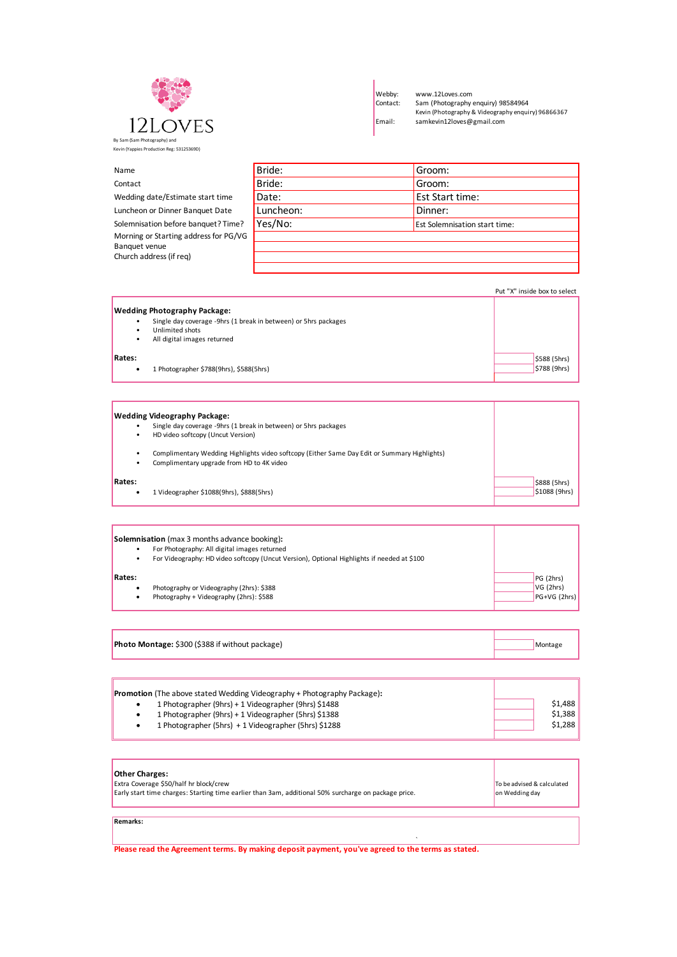

Webby: www.12Loves.com<br>Contact: Sam (Photography e Contact: Sam (Photography enquiry) 98584964 Kevin (Photography & Videography enquiry) 96866367 Email: samkevin12loves@gmail.com

| Name                                  | Bride:    | Groom:                               |
|---------------------------------------|-----------|--------------------------------------|
| Contact                               | Bride:    | Groom:                               |
| Wedding date/Estimate start time      | Date:     | <b>Est Start time:</b>               |
| Luncheon or Dinner Banquet Date       | Luncheon: | Dinner:                              |
| Solemnisation before banquet? Time?   | Yes/No:   | <b>Est Solemnisation start time:</b> |
| Morning or Starting address for PG/VG |           |                                      |
| Banquet venue                         |           |                                      |
| Church address (if reg)               |           |                                      |
|                                       |           |                                      |

Put "X" inside box to select **Wedding Photography Package:** • Unlimited shots • All digital images returned **Rates:**  $\frac{1}{5}$  \$588 (5hrs) • 1 Photographer \$788(9hrs), \$588(5hrs) \$788(5hrs) \$788 (9hrs) \$788 (9hrs) \$788 (9hrs) \$788 (9hrs) • Single day coverage -9hrs (1 break in between) or 5hrs packages

**Wedding Videography Package:** • Single day coverage -9hrs (1 break in between) or 5hrs packages • Complimentary Wedding Highlights video softcopy (Either Same Day Edit or Summary Highlights)<br>• Complimentary upgrade from HD to 4K video • Complimentary upgrade from HD to 4K video **Rates:** \$888 (5hrs) • 1 Videographer \$1088(9hrs), \$888(5hrs) \$1088 (9hrs) \$1088 (9hrs) • HD video softcopy (Uncut Version)

| <b>Solemnisation</b> (max 3 months advance booking):                                       |                |  |
|--------------------------------------------------------------------------------------------|----------------|--|
| For Photography: All digital images returned                                               |                |  |
| For Videography: HD video softcopy (Uncut Version), Optional Highlights if needed at \$100 |                |  |
| <b>Rates:</b>                                                                              | PG(2hrs)       |  |
| Photography or Videography (2hrs): \$388                                                   | VG (2hrs)      |  |
| Photography + Videography (2hrs): \$588                                                    | $PG+VG$ (2hrs) |  |

| Photo Montage: \$300 (\$388 if without package) |  | Montage |
|-------------------------------------------------|--|---------|
|                                                 |  |         |

|  | <b>Promotion</b> (The above stated Wedding Videography + Photography Package): |         |
|--|--------------------------------------------------------------------------------|---------|
|  | 1 Photographer (9hrs) + 1 Videographer (9hrs) \$1488                           | \$1.488 |
|  | 1 Photographer (9hrs) + 1 Videographer (5hrs) \$1388                           | \$1.388 |
|  | 1 Photographer (5hrs) + 1 Videographer (5hrs) \$1288                           | \$1.288 |
|  |                                                                                |         |

| <b>Other Charges:</b><br>Extra Coverage \$50/half hr block/crew<br>Early start time charges: Starting time earlier than 3am, additional 50% surcharge on package price. | To be advised & calculated<br>on Wedding day |
|-------------------------------------------------------------------------------------------------------------------------------------------------------------------------|----------------------------------------------|
|                                                                                                                                                                         |                                              |
| <b>Remarks:</b>                                                                                                                                                         |                                              |

` **Please read the Agreement terms. By making deposit payment, you've agreed to the terms as stated.**